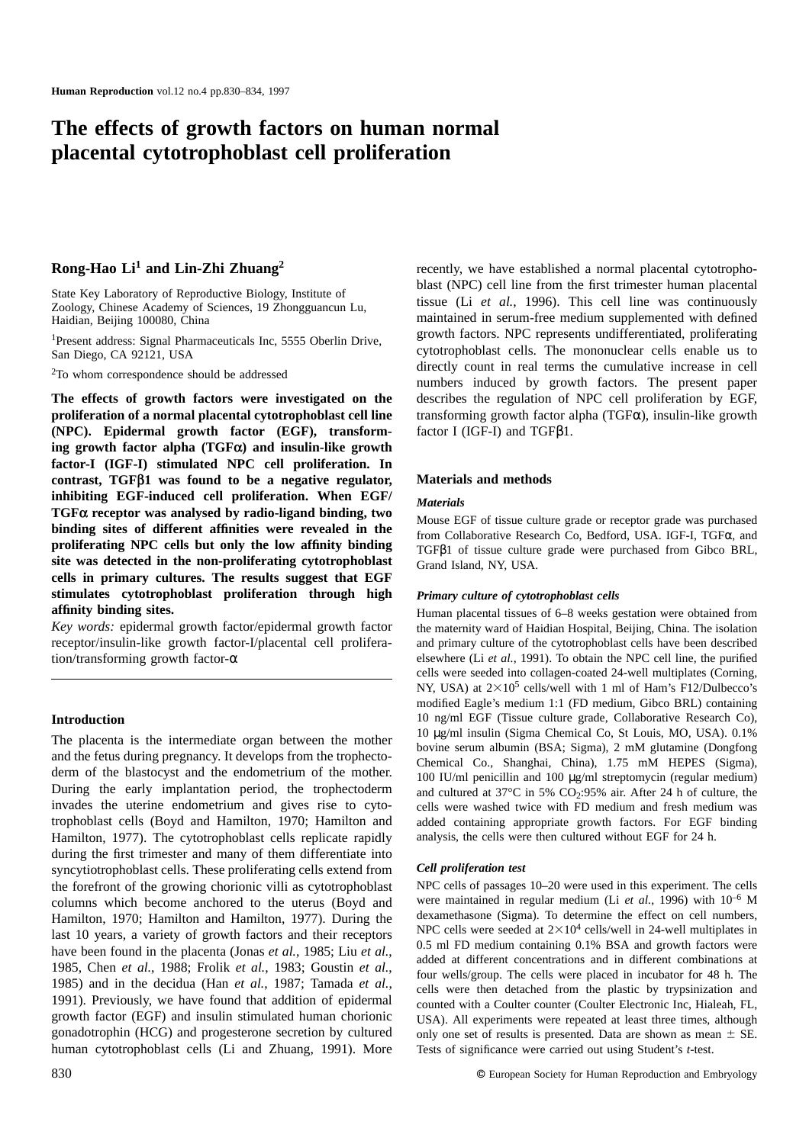# **The effects of growth factors on human normal placental cytotrophoblast cell proliferation**

## **Rong-Hao Li<sup>1</sup> and Lin-Zhi Zhuang<sup>2</sup>** recently, we have established a normal placental cytotropho-

**proliferation of a normal placental cytotrophoblast cell line** transforming growth factor alpha (TGFα), insulin-like growth **(NPC). Epidermal growth factor (EGF), transform-** factor I (IGF-I) and TGFβ1. **ing growth factor alpha (TGFα) and insulin-like growth factor-I (IGF-I) stimulated NPC cell proliferation. In contrast, TGFβ1 was found to be a negative regulator, Materials and methods inhibiting EGF-induced cell proliferation. When EGF/** *Materials* TGFα receptor was analysed by radio-ligand binding, two<br>binding sites of different affinities were revealed in the<br>proliferating NPC cells but only the low affinity binding<br>site was detected in the non-proliferating cytot **cells in primary cultures. The results suggest that EGF stimulates cytotrophoblast proliferation through high** *Primary culture of cytotrophoblast cells* **affinity binding sites.** Human placental tissues of 6–8 weeks gestation were obtained from

invades the uterine endometrium and gives rise to cyto- cells were washed twice with FD medium and fresh medium was Hamilton, 1977). The cytotrophoblast cells replicate rapidly analysis, the cells were then cultured without EGF for 24 h. during the first trimester and many of them differentiate into syncytiotrophoblast cells. These proliferating cells extend from Cell proliferation test the forefront of the growing chorionic villi as cytotrophoblast NPC cells of passages 10–20 were used in this experiment. The cells columns which become anchored to the uterus (Boyd and – were maintained in regular medium (Li *et al.*, 1996) with  $10^{-6}$  M Hamilton 1970; Hamilton and Hamilton 1977) During the **dexamethasone** (Sigma). To determine the Hamilton, 1970; Hamilton and Hamilton, 1977). During the dexamethasone (Sigma). To determine the effect on cell numbers,  $\text{NPC}$  cells were seeded at  $2\times10^4$  cells/well in 24-well multiplates in Fig. 10 years, a variety of growth factors and their receptors<br>have been found in the placenta (Jonas *et al.*, 1985; Liu *et al.*,<br>1985, Chen *et al.*, 1988; Frolik *et al.*, 1983; Goustin *et al.*,<br>1985) and in the deci 1991). Previously, we have found that addition of epidermal counted with a Coulter counter (Coulter Electronic Inc, Hialeah, FL, growth factor (EGF) and insulin stimulated human chorionic USA). All experiments were repeate gonadotrophin (HCG) and progesterone secretion by cultured only one set of results is presented. Data are shown as mean  $\pm$  SE. human cytotrophoblast cells (Li and Zhuang, 1991). More Tests of significance were carried out using Student's *t*-test.

State Key Laboratory of Reproductive Biology, Institute of blast (NPC) cell line from the first trimester human placental<br>
Zoology, Chinese Academy of Sciences, 19 Zhongguancun Lu,<br>
Haidian, Beijing 100080, China maintaine maintained in serum-free medium supplemented with defined growth factors. NPC represents undifferentiated, proliferating <sup>1</sup>Present address: Signal Pharmaceuticals Inc, 5555 Oberlin Drive,<br>
San Diego, CA 92121, USA eytotrophoblast cells. The mononuclear cells enable us to directly count in real terms the cumulative increase in cell <sup>2</sup>To whom correspondence should be addressed numbers induced by growth factors. The present paper **The effects of growth factors were investigated on the** describes the regulation of NPC cell proliferation by EGF,

*Key words:* epidermal growth factor/epidermal growth factor the maternity ward of Haidian Hospital, Beijing, China. The isolation receptor/insulin-like growth factor-I/placental cell prolifera- and primary culture of the cytotrophoblast cells have been described tion/transforming growth factor-α elsewhere (Li *et al.*, 1991). To obtain the NPC cell line, the purified cells were seeded into collagen-coated 24-well multiplates (Corning, NY, USA) at  $2\times10^5$  cells/well with 1 ml of Ham's F12/Dulbecco's modified Eagle's medium 1:1 (FD medium, Gibco BRL) containing **Introduction** 10 ng/ml EGF (Tissue culture grade, Collaborative Research Co),<br>10 µg/ml insulin (Sigma Chemical Co, St Louis, MO, USA). 0.1% The placenta is the intermediate organ between the mother<br>and the fetus during pregnancy. It develops from the trophecto-<br>derm of the blastocyst and the endometrium of the mother.<br>During the early implantation period, the trophoblast cells (Boyd and Hamilton, 1970; Hamilton and added containing appropriate growth factors. For EGF binding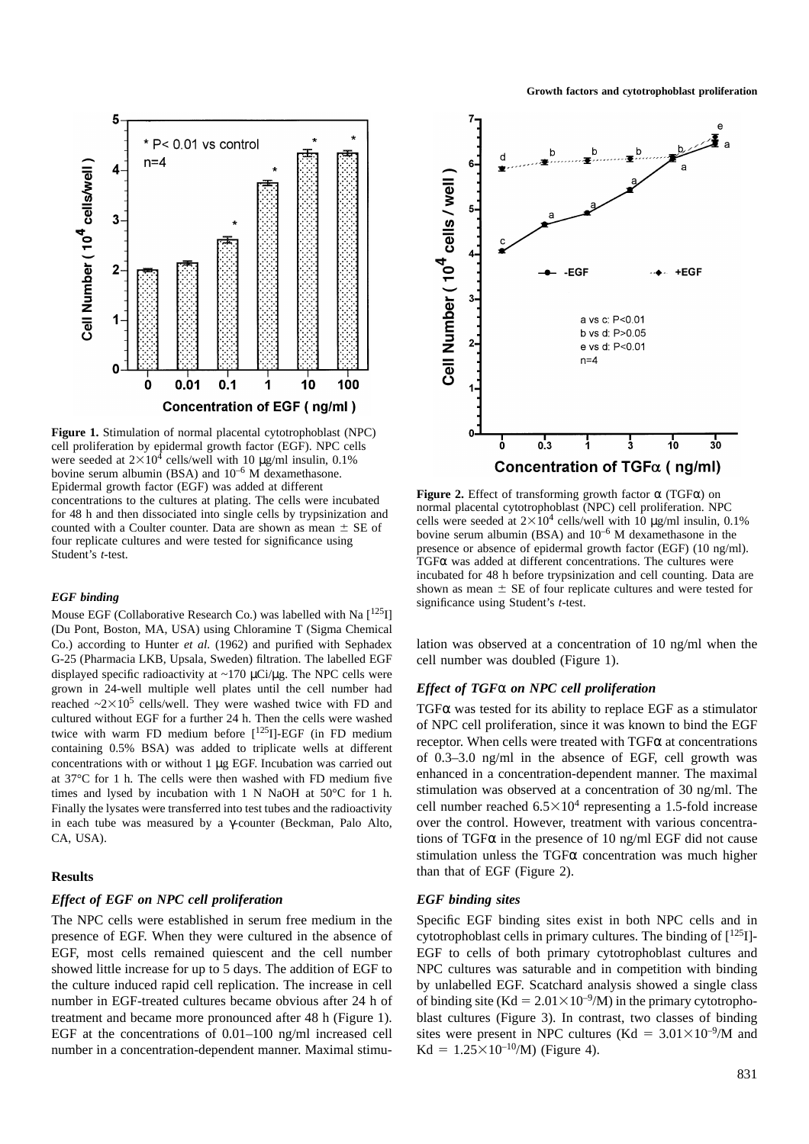

**Figure 1.** Stimulation of normal placental cytotrophoblast (NPC) cell proliferation by epidermal growth factor (EGF). NPC cells were seeded at  $2\times10^4$  cells/well with 10 µg/ml insulin, 0.1% bovine serum albumin (BSA) and  $10^{-6}$  M dexamethasone. Epidermal growth factor (EGF) was added at different<br>concentrations to the cultures at plating. The cells were incubated<br>for 48 h and then dissociated into single cells by trypsinization and<br>counted with a Coulter counte

Mouse EGF (Collaborative Research Co.) was labelled with Na  $[125]$ (Du Pont, Boston, MA, USA) using Chloramine T (Sigma Chemical Co.) according to Hunter *et al.* (1962) and purified with Sephadex lation was observed at a concentration of 10 ng/ml when the G-25 (Pharmacia LKB, Upsala, Sweden) filtration. The labelled EGF cell number was doubled (Figure 1). displayed specific radioactivity at ~170 µCi/µg. The NPC cells were grown in 24-well multiple well plates until the cell number had *Effect of TGF*α *on NPC cell proliferation* reached  $\sim$  2×10<sup>5</sup> cells/well. They were washed twice with FD and<br>cultured without EGF for a further 24 h. Then the cells were washed<br>twice with warm FD medium before  $[^{125}I]$ -EGF (in FD medium<br>containing 0.5% BSA) w at 37°C for 1 h. The cells were then washed with FD medium five enhanced in a concentration-dependent manner. The maximal<br>times and lysed by incubation with 1 N NaOH at 50°C for 1 h. stimulation was observed at a concentra Finally the lysates were transferred into test tubes and the radioactivity cell number reached  $6.5 \times 10^4$  representing a 1.5-fold increase in each tube was measured by a γ-counter (Beckman, Palo Alto, over the control. However, treatment with various concentra-CA, USA). tions of TGF $\alpha$  in the presence of 10 ng/ml EGF did not cause

## *Effect of EGF on NPC cell proliferation EGF binding sites*

presence of EGF. When they were cultured in the absence of cytotrophoblast cells in primary cultures. The binding of  $[^{125}I]$ -EGF, most cells remained quiescent and the cell number EGF to cells of both primary cytotrophoblast cultures and showed little increase for up to 5 days. The addition of EGF to NPC cultures was saturable and in competition with binding the culture induced rapid cell replication. The increase in cell by unlabelled EGF. Scatchard analysis showed a single class number in EGF-treated cultures became obvious after 24 h of of binding site (Kd =  $2.01 \times 10^{-9}$ /M) in the primary cytotrophotreatment and became more pronounced after 48 h (Figure 1). blast cultures (Figure 3). In contrast, two classes of binding EGF at the concentrations of 0.01–100 ng/ml increased cell sites were present in NPC cultures (Kd =  $3.01 \times 10^{-9}$ /M and number in a concentration-dependent manner. Maximal stimu-<br> $Kd = 1.25 \times 10^{-10} M$ ) (Figure 4).



incubated for 48 h before trypsinization and cell counting. Data are **EGF binding** shown as mean  $\pm$  SE of four replicate cultures and were tested for significance using Student's *t*-test.

stimulation unless the TGF $\alpha$  concentration was much higher than that of EGF (Figure 2). **Results**

The NPC cells were established in serum free medium in the Specific EGF binding sites exist in both NPC cells and in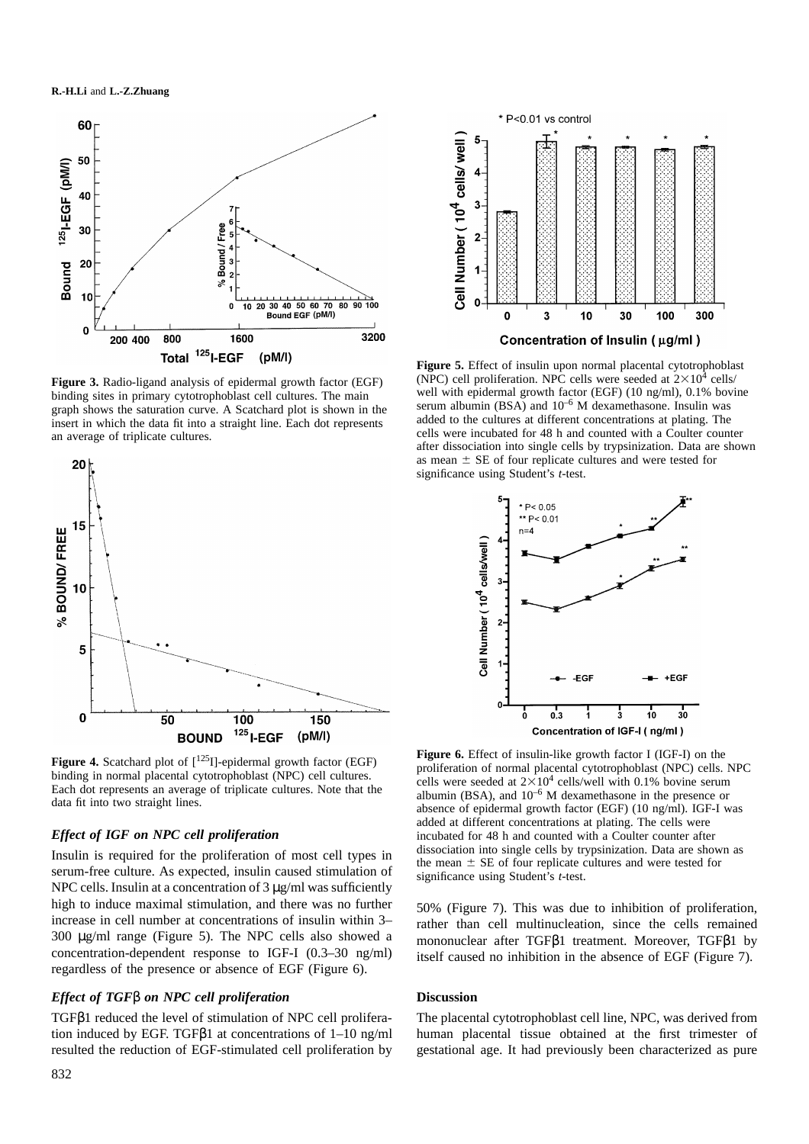



NPC cells. Insulin at a concentration of 3  $\mu$ g/ml was sufficiently high to induce maximal stimulation, and there was no further 50% (Figure 7). This was due to inhibition of proliferation, increase in cell number at concentrations of insulin within  $3-$  rather than cell multipucleation, s increase in cell number at concentrations of insulin within  $3-$  rather than cell multinucleation, since the cells remained  $300 \mu g/ml$  range (Figure 5). The NPC cells also showed a mononuclear after TGFB1 treatment. Moreov 300 μg/ml range (Figure 5). The NPC cells also showed a mononuclear after TGFβ1 treatment. Moreover, TGFβ1 by concentration-dependent response to IGF-I  $(0.3-30 \text{ ng/ml})$  itself caused no inhibition in the absence of EGE (F regardless of the presence or absence of EGF (Figure 6).

## *Effect of TGF*β *on NPC cell proliferation* **Discussion**

tion induced by EGF. TGFβ1 at concentrations of 1–10 ng/ml human placental tissue obtained at the first trimester of resulted the reduction of EGF-stimulated cell proliferation by gestational age. It had previously been characterized as pure



Concentration of Insulin (µg/ml)

**Figure 5.** Effect of insulin upon normal placental cytotrophoblast **Figure 3.** Radio-ligand analysis of epidermal growth factor (EGF) (NPC) cell proliferation. NPC cells were seeded at  $2 \times 10^4$  cells/<br>binding sites in primary cytotrophoblast cell cultures. The main well with epidermal binding sites in primary cytotrophoblast cell cultures. The main well with epidermal growth factor (EGF) (10 ng/ml), 0.1% bovine<br>graph shows the saturation curve. A Scatchard plot is shown in the<br>insert in which the data as mean  $\pm$  SE of four replicate cultures and were tested for significance using Student's *t*-test.



Figure 4. Scatchard plot of  $[^{125}I]$ -epidermal growth factor (EGF)<br>
binding in normal placental cytotrophoblast (NPC) cell cultures.<br>
Each dot represents an average of triplicate cultures. Note that the<br>
data fit into t added at different concentrations at plating. The cells were *Effect of IGF on NPC cell proliferation* incubated for 48 h and counted with a Coulter counter after Insulin is required for the proliferation of most cell types in<br>secular dissociation into single cells by trypsinization. Data are shown as<br>the mean  $\pm$  SE of four replicate cultures and were tested for<br>significance usin

itself caused no inhibition in the absence of EGF (Figure 7).

TGFβ1 reduced the level of stimulation of NPC cell prolifera- The placental cytotrophoblast cell line, NPC, was derived from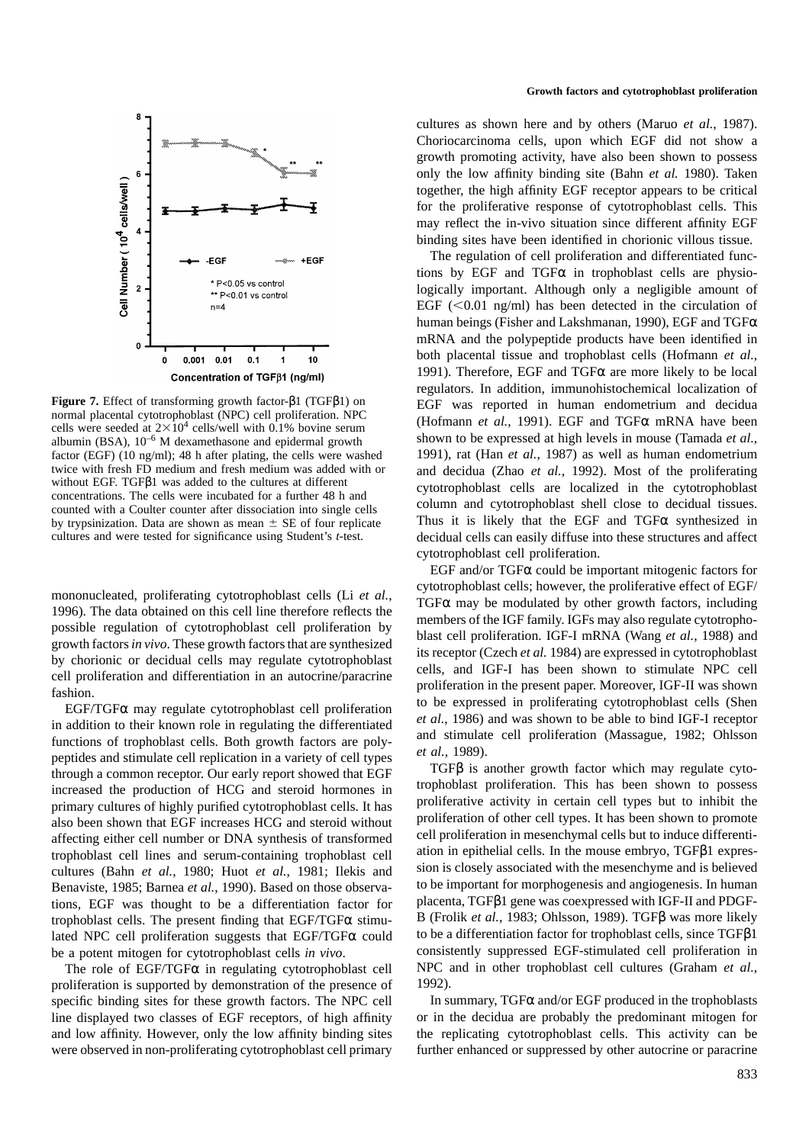

albumin (BSA),  $10^{-6}$  M dexamethasone and epidermal growth

**EGF/TGFα** may regulate cytotrophoblast cell proliferation<br>in addition to their known role in regulating the differentiated<br>functions of trophoblast cells. Both growth factors are poly-<br>proliferation (Massague, 1982; Ohl also been shown that EGF increases HCG and steroid without<br>affecting either cell number or DNA synthesis of transformed<br>trophoblast cell ines and serum-containing trophoblast cell<br>ation in epithelial cells. In the mouse em trophoblast cell lines and serum-containing trophoblast cell sion is closely associated with the mesenchyme and is believed<br>Repayiste 1985; Barnea *et al.*, 1990). Based on those observative to be important for morphogenesis and angiogenesis. In human Benaviste, 1985; Barnea et al., 1990). Based on those observations, EGF was thought to be a differentiation factor for placenta, TGFβ1 gene was coexpressed with IGF-II and PDGFtrophoblast cells. The present finding that EGF/TGFα stimu-<br>lated NPC cell proliferation suggests that EGF/TGFα could to be a differentiation factor for trophoblast cells, since TGFβ1 lated NPC cell proliferation suggests that  $EGF/TGF\alpha$  could be a potent mitogen for cytotrophoblast cells *in vivo*. consistently suppressed EGF-stimulated cell proliferation in

proliferation is supported by demonstration of the presence of 1992). specific binding sites for these growth factors. The NPC cell In summary, TGFα and/or EGF produced in the trophoblasts line displayed two classes of EGF receptors, of high affinity or in the decidua are probably the predominant mitogen for and low affinity. However, only the low affinity binding sites the replicating cytotrophoblast cells. This activity can be were observed in non-proliferating cytotrophoblast cell primary further enhanced or suppressed by other autocrine or paracrine

## **Growth factors and cytotrophoblast proliferation**

cultures as shown here and by others (Maruo *et al.*, 1987). Choriocarcinoma cells, upon which EGF did not show a growth promoting activity, have also been shown to possess only the low affinity binding site (Bahn *et al.* 1980). Taken together, the high affinity EGF receptor appears to be critical for the proliferative response of cytotrophoblast cells. This may reflect the in-vivo situation since different affinity EGF binding sites have been identified in chorionic villous tissue.

The regulation of cell proliferation and differentiated functions by EGF and TGF $\alpha$  in trophoblast cells are physiologically important. Although only a negligible amount of EGF  $(<0.01$  ng/ml) has been detected in the circulation of human beings (Fisher and Lakshmanan, 1990), EGF and TGFα mRNA and the polypeptide products have been identified in both placental tissue and trophoblast cells (Hofmann *et al.*, 1991). Therefore, EGF and TGF $\alpha$  are more likely to be local regulators. In addition, immunohistochemical localization of **Figure 7.** Effect of transforming growth factor- $\beta$ 1 (TGF $\beta$ 1) on<br>normal placental cytotrophoblast (NPC) cell proliferation. NPC<br>cells were seeded at  $2\times10^4$  cells/well with 0.1% bovine serum<br>albumin (BSA)  $10^{-6}$  M factor (EGF) (10 ng/ml); 48 h after plating, the cells were washed 1991), rat (Han *et al.*, 1987) as well as human endometrium twice with fresh FD medium and fresh medium was added with or and decidua (Zhao *et al.*, 1992 twice with fresh FD medium and fresh medium was added with or<br>without EGF. TGFβ1 was added to the cultures at different<br>concentrations. The cells were incubated for a further 48 h and<br>counted with a Coulter counter after d by trypsinization. Data are shown as mean  $\pm$  SE of four replicate Thus it is likely that the EGF and TGF $\alpha$  synthesized in cultures and were tested for significance using Student's *t*-test. decidual cells can easily diffuse into these structures and affect cytotrophoblast cell proliferation.

EGF and/or  $T$ GF $\alpha$  could be important mitogenic factors for mononucleated, proliferating cytotrophoblast cells (Li *et al.*,<br>1996). The data obtained on this cell line therefore reflects the<br>1996). The data obtained on this cell line therefore reflects the<br>1996). The data obtained

The role of EGF/TGF $\alpha$  in regulating cytotrophoblast cell NPC and in other trophoblast cell cultures (Graham *et al.*,